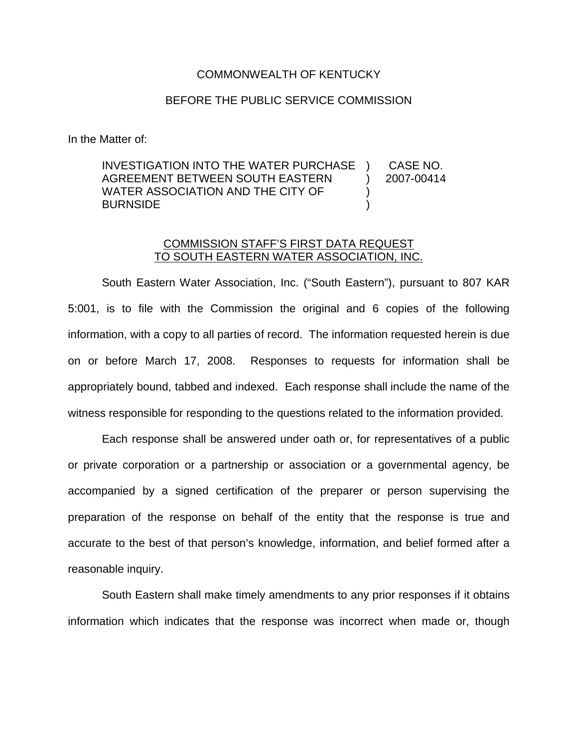## COMMONWEALTH OF KENTUCKY

## BEFORE THE PUBLIC SERVICE COMMISSION

In the Matter of:

## INVESTIGATION INTO THE WATER PURCHASE AGREEMENT BETWEEN SOUTH EASTERN WATER ASSOCIATION AND THE CITY OF BURNSIDE ) CASE NO. ) 2007-00414 ) )

## COMMISSION STAFF'S FIRST DATA REQUEST TO SOUTH EASTERN WATER ASSOCIATION, INC.

South Eastern Water Association, Inc. ("South Eastern"), pursuant to 807 KAR 5:001, is to file with the Commission the original and 6 copies of the following information, with a copy to all parties of record. The information requested herein is due on or before March 17, 2008. Responses to requests for information shall be appropriately bound, tabbed and indexed. Each response shall include the name of the witness responsible for responding to the questions related to the information provided.

Each response shall be answered under oath or, for representatives of a public or private corporation or a partnership or association or a governmental agency, be accompanied by a signed certification of the preparer or person supervising the preparation of the response on behalf of the entity that the response is true and accurate to the best of that person's knowledge, information, and belief formed after a reasonable inquiry.

South Eastern shall make timely amendments to any prior responses if it obtains information which indicates that the response was incorrect when made or, though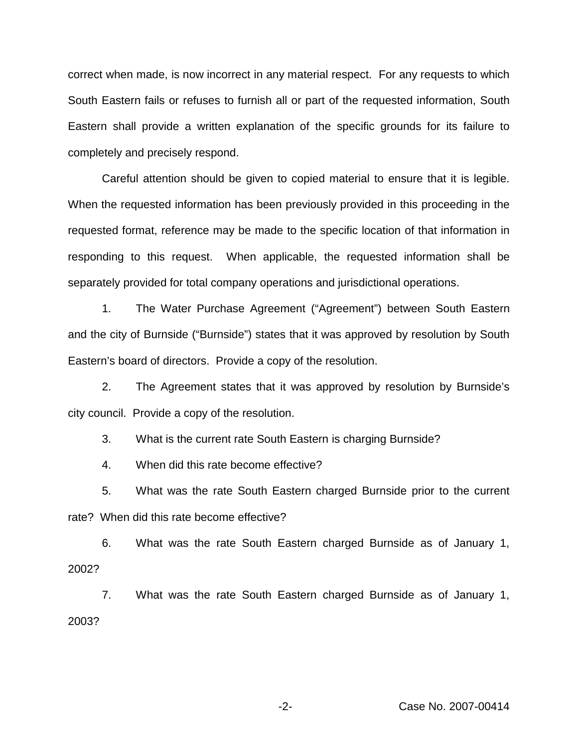correct when made, is now incorrect in any material respect. For any requests to which South Eastern fails or refuses to furnish all or part of the requested information, South Eastern shall provide a written explanation of the specific grounds for its failure to completely and precisely respond.

Careful attention should be given to copied material to ensure that it is legible. When the requested information has been previously provided in this proceeding in the requested format, reference may be made to the specific location of that information in responding to this request. When applicable, the requested information shall be separately provided for total company operations and jurisdictional operations.

1. The Water Purchase Agreement ("Agreement") between South Eastern and the city of Burnside ("Burnside") states that it was approved by resolution by South Eastern's board of directors. Provide a copy of the resolution.

2. The Agreement states that it was approved by resolution by Burnside's city council. Provide a copy of the resolution.

3. What is the current rate South Eastern is charging Burnside?

4. When did this rate become effective?

5. What was the rate South Eastern charged Burnside prior to the current rate? When did this rate become effective?

6. What was the rate South Eastern charged Burnside as of January 1, 2002?

7. What was the rate South Eastern charged Burnside as of January 1, 2003?